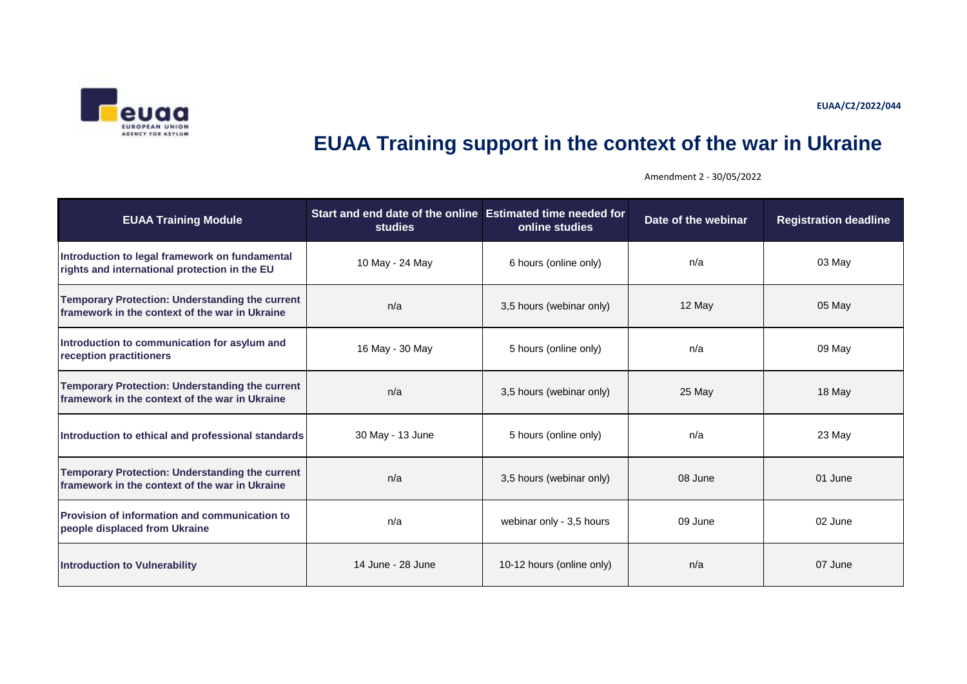**EUAA/C2/2022/044**



## **EUAA Training support in the context of the war in Ukraine**

**EUAA Training Module studies Start and end date of the online Estimated time needed for online studies Date of the webinar Registration deadline Introduction to legal framework on fundamental ritroduction to regar framework on fundamental** 10 May - 24 May 10 May 10 May 10 May 10 May 10 May 10 May 10 Ma<br> **rights and international protection in the EU** 10 May 124 May 10 May 10 May 10 May 10 May 10 May 10 May 10 **Temporary Protection: Understanding the current framework in the context of the war in Ukraine n/a** 13,5 hours (webinar only) 12 May 12 May 05 May 05 May 12 May **Introduction to communication for asylum and reception practitioners** 16 May 16 May - 30 May 16 May 16 May 16 May 16 May 16 May 16 May 16 May 16 May 16 May 1<br>The seption practitioners 1999 May 16 May 16 May 16 May 16 May 16 May 16 May 16 May 16 May 16 May 16 May 16 **Temporary Protection: Understanding the current framework in the context of the war in Ukraine n/a** 18 May 18 May 18 May 18 May 18 May 18 May 18 May 18 May 18 May 18 May 18 May 18 May 18 May 18 May 18 May 18 May 18 May 18 May 18 May 18 May 18 May 18 May 18 May 18 May **Introduction to ethical and professional standards** 30 May - 13 June 5 hours (online only) and the state of the standard and professional standards 30 May - 13 June 5 hours (online only) **Temporary Protection: Understanding the current framework in the context of the war in Ukraine** next notation in the many n/a 13,5 hours (webinar only) 08 June 01 June 01 June 01 June 1 20 June 1 20 June 1 20 June 1 20 June 1 20 June 1 20 June 1 20 June 1 20 June 1 20 **Provision of information and communication to people displaced from Ukraine** 02 June 10 02 June 10 02 June 10 03 June 10 03 June 10 02 June 10 02 June 10 02 June 10 02 June 10 02 June 10 02 June 10 02 June 10 02 June 10 02 June 10 02 June 10 02 June 10 02 June 10 02 **Introduction to Vulnerability** 14 June - 28 June 10-12 hours (online only) n/a 07 June 07 June

Amendment 2 - 30/05/2022